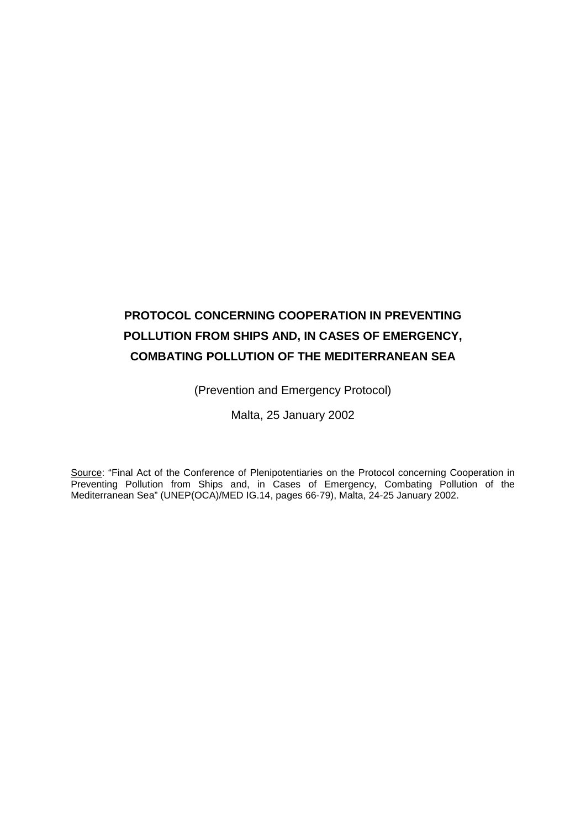# **PROTOCOL CONCERNING COOPERATION IN PREVENTING POLLUTION FROM SHIPS AND, IN CASES OF EMERGENCY, COMBATING POLLUTION OF THE MEDITERRANEAN SEA**

(Prevention and Emergency Protocol)

Malta, 25 January 2002

Source: "Final Act of the Conference of Plenipotentiaries on the Protocol concerning Cooperation in Preventing Pollution from Ships and, in Cases of Emergency, Combating Pollution of the Mediterranean Sea" (UNEP(OCA)/MED IG.14, pages 66-79), Malta, 24-25 January 2002.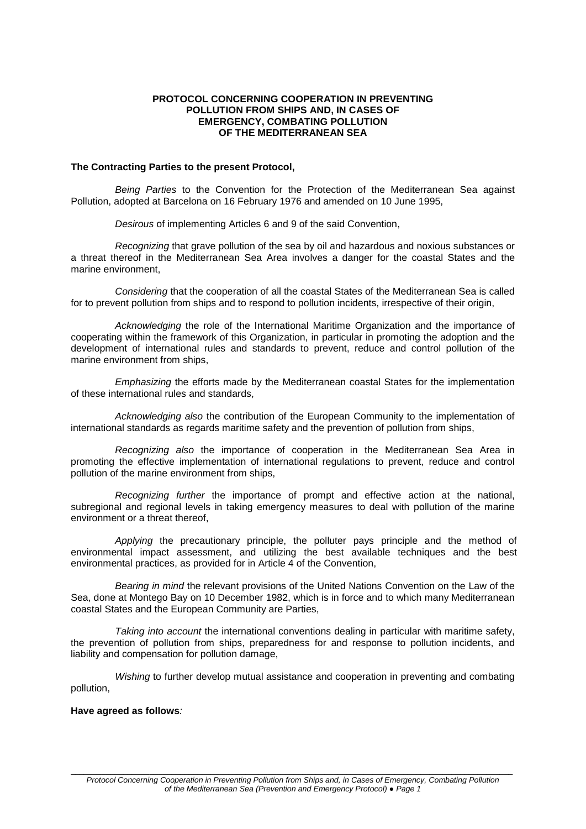#### **PROTOCOL CONCERNING COOPERATION IN PREVENTING POLLUTION FROM SHIPS AND, IN CASES OF EMERGENCY, COMBATING POLLUTION OF THE MEDITERRANEAN SEA**

#### **The Contracting Parties to the present Protocol,**

*Being Parties* to the Convention for the Protection of the Mediterranean Sea against Pollution, adopted at Barcelona on 16 February 1976 and amended on 10 June 1995,

*Desirous* of implementing Articles 6 and 9 of the said Convention,

*Recognizing* that grave pollution of the sea by oil and hazardous and noxious substances or a threat thereof in the Mediterranean Sea Area involves a danger for the coastal States and the marine environment,

*Considering* that the cooperation of all the coastal States of the Mediterranean Sea is called for to prevent pollution from ships and to respond to pollution incidents, irrespective of their origin,

*Acknowledging* the role of the International Maritime Organization and the importance of cooperating within the framework of this Organization, in particular in promoting the adoption and the development of international rules and standards to prevent, reduce and control pollution of the marine environment from ships,

*Emphasizing* the efforts made by the Mediterranean coastal States for the implementation of these international rules and standards,

*Acknowledging also* the contribution of the European Community to the implementation of international standards as regards maritime safety and the prevention of pollution from ships,

*Recognizing also* the importance of cooperation in the Mediterranean Sea Area in promoting the effective implementation of international regulations to prevent, reduce and control pollution of the marine environment from ships,

*Recognizing further* the importance of prompt and effective action at the national, subregional and regional levels in taking emergency measures to deal with pollution of the marine environment or a threat thereof,

*Applying* the precautionary principle, the polluter pays principle and the method of environmental impact assessment, and utilizing the best available techniques and the best environmental practices, as provided for in Article 4 of the Convention,

*Bearing in mind* the relevant provisions of the United Nations Convention on the Law of the Sea, done at Montego Bay on 10 December 1982, which is in force and to which many Mediterranean coastal States and the European Community are Parties,

*Taking into account* the international conventions dealing in particular with maritime safety, the prevention of pollution from ships, preparedness for and response to pollution incidents, and liability and compensation for pollution damage,

*Wishing* to further develop mutual assistance and cooperation in preventing and combating pollution,

#### **Have agreed as follows***:*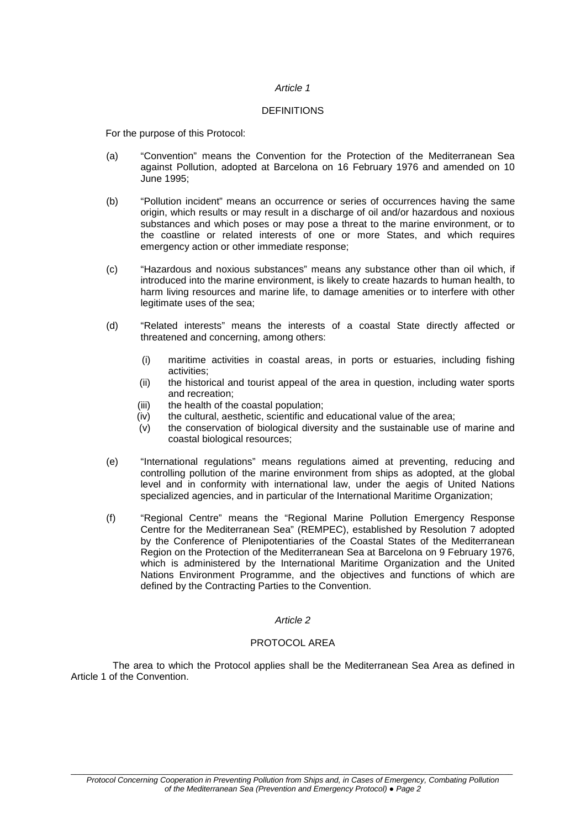#### DEFINITIONS

For the purpose of this Protocol:

- (a) "Convention" means the Convention for the Protection of the Mediterranean Sea against Pollution, adopted at Barcelona on 16 February 1976 and amended on 10 June 1995;
- (b) "Pollution incident" means an occurrence or series of occurrences having the same origin, which results or may result in a discharge of oil and/or hazardous and noxious substances and which poses or may pose a threat to the marine environment, or to the coastline or related interests of one or more States, and which requires emergency action or other immediate response;
- (c) "Hazardous and noxious substances" means any substance other than oil which, if introduced into the marine environment, is likely to create hazards to human health, to harm living resources and marine life, to damage amenities or to interfere with other legitimate uses of the sea;
- (d) "Related interests" means the interests of a coastal State directly affected or threatened and concerning, among others:
	- (i) maritime activities in coastal areas, in ports or estuaries, including fishing activities;
	- (ii) the historical and tourist appeal of the area in question, including water sports and recreation;
	- (iii) the health of the coastal population;
	- (iv) the cultural, aesthetic, scientific and educational value of the area;
	- (v) the conservation of biological diversity and the sustainable use of marine and coastal biological resources;
- (e) "International regulations" means regulations aimed at preventing, reducing and controlling pollution of the marine environment from ships as adopted, at the global level and in conformity with international law, under the aegis of United Nations specialized agencies, and in particular of the International Maritime Organization;
- (f) "Regional Centre" means the "Regional Marine Pollution Emergency Response Centre for the Mediterranean Sea" (REMPEC), established by Resolution 7 adopted by the Conference of Plenipotentiaries of the Coastal States of the Mediterranean Region on the Protection of the Mediterranean Sea at Barcelona on 9 February 1976, which is administered by the International Maritime Organization and the United Nations Environment Programme, and the objectives and functions of which are defined by the Contracting Parties to the Convention.

## *Article 2*

### PROTOCOL AREA

The area to which the Protocol applies shall be the Mediterranean Sea Area as defined in Article 1 of the Convention.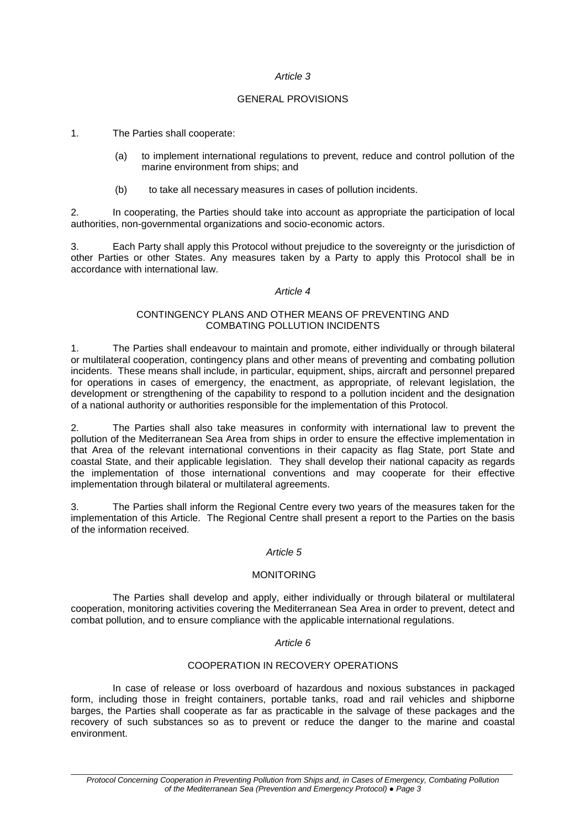## GENERAL PROVISIONS

1. The Parties shall cooperate:

- (a) to implement international regulations to prevent, reduce and control pollution of the marine environment from ships; and
- (b) to take all necessary measures in cases of pollution incidents.

2. In cooperating, the Parties should take into account as appropriate the participation of local authorities, non-governmental organizations and socio-economic actors.

3. Each Party shall apply this Protocol without prejudice to the sovereignty or the jurisdiction of other Parties or other States. Any measures taken by a Party to apply this Protocol shall be in accordance with international law.

### *Article 4*

#### CONTINGENCY PLANS AND OTHER MEANS OF PREVENTING AND COMBATING POLLUTION INCIDENTS

1. The Parties shall endeavour to maintain and promote, either individually or through bilateral or multilateral cooperation, contingency plans and other means of preventing and combating pollution incidents. These means shall include, in particular, equipment, ships, aircraft and personnel prepared for operations in cases of emergency, the enactment, as appropriate, of relevant legislation, the development or strengthening of the capability to respond to a pollution incident and the designation of a national authority or authorities responsible for the implementation of this Protocol.

2. The Parties shall also take measures in conformity with international law to prevent the pollution of the Mediterranean Sea Area from ships in order to ensure the effective implementation in that Area of the relevant international conventions in their capacity as flag State, port State and coastal State, and their applicable legislation. They shall develop their national capacity as regards the implementation of those international conventions and may cooperate for their effective implementation through bilateral or multilateral agreements.

3. The Parties shall inform the Regional Centre every two years of the measures taken for the implementation of this Article. The Regional Centre shall present a report to the Parties on the basis of the information received.

#### *Article 5*

## MONITORING

The Parties shall develop and apply, either individually or through bilateral or multilateral cooperation, monitoring activities covering the Mediterranean Sea Area in order to prevent, detect and combat pollution, and to ensure compliance with the applicable international regulations.

### *Article 6*

## COOPERATION IN RECOVERY OPERATIONS

In case of release or loss overboard of hazardous and noxious substances in packaged form, including those in freight containers, portable tanks, road and rail vehicles and shipborne barges, the Parties shall cooperate as far as practicable in the salvage of these packages and the recovery of such substances so as to prevent or reduce the danger to the marine and coastal environment.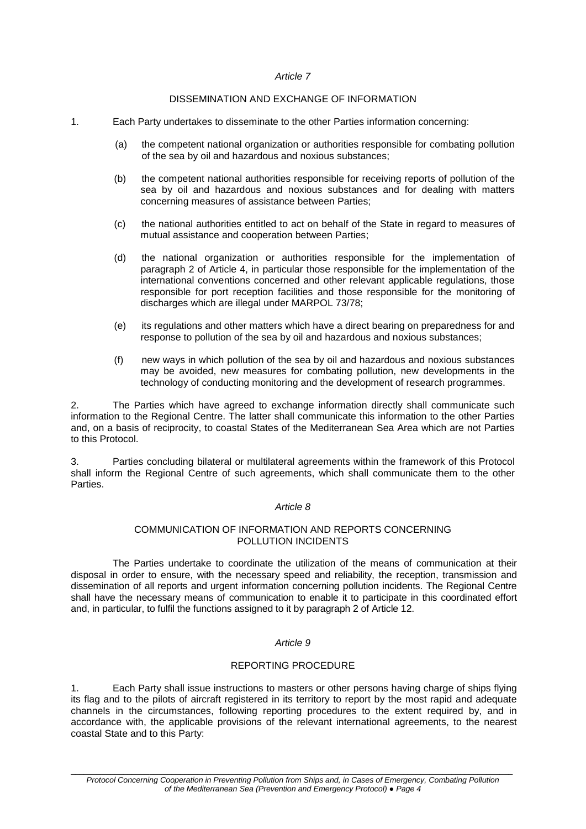## DISSEMINATION AND EXCHANGE OF INFORMATION

- 1. Each Party undertakes to disseminate to the other Parties information concerning:
	- (a) the competent national organization or authorities responsible for combating pollution of the sea by oil and hazardous and noxious substances;
	- (b) the competent national authorities responsible for receiving reports of pollution of the sea by oil and hazardous and noxious substances and for dealing with matters concerning measures of assistance between Parties;
	- (c) the national authorities entitled to act on behalf of the State in regard to measures of mutual assistance and cooperation between Parties;
	- (d) the national organization or authorities responsible for the implementation of paragraph 2 of Article 4, in particular those responsible for the implementation of the international conventions concerned and other relevant applicable regulations, those responsible for port reception facilities and those responsible for the monitoring of discharges which are illegal under MARPOL 73/78;
	- (e) its regulations and other matters which have a direct bearing on preparedness for and response to pollution of the sea by oil and hazardous and noxious substances;
	- (f) new ways in which pollution of the sea by oil and hazardous and noxious substances may be avoided, new measures for combating pollution, new developments in the technology of conducting monitoring and the development of research programmes.

2. The Parties which have agreed to exchange information directly shall communicate such information to the Regional Centre. The latter shall communicate this information to the other Parties and, on a basis of reciprocity, to coastal States of the Mediterranean Sea Area which are not Parties to this Protocol.

3. Parties concluding bilateral or multilateral agreements within the framework of this Protocol shall inform the Regional Centre of such agreements, which shall communicate them to the other Parties.

#### *Article 8*

#### COMMUNICATION OF INFORMATION AND REPORTS CONCERNING POLLUTION INCIDENTS

The Parties undertake to coordinate the utilization of the means of communication at their disposal in order to ensure, with the necessary speed and reliability, the reception, transmission and dissemination of all reports and urgent information concerning pollution incidents. The Regional Centre shall have the necessary means of communication to enable it to participate in this coordinated effort and, in particular, to fulfil the functions assigned to it by paragraph 2 of Article 12.

### *Article 9*

## REPORTING PROCEDURE

1. Each Party shall issue instructions to masters or other persons having charge of ships flying its flag and to the pilots of aircraft registered in its territory to report by the most rapid and adequate channels in the circumstances, following reporting procedures to the extent required by, and in accordance with, the applicable provisions of the relevant international agreements, to the nearest coastal State and to this Party:

\_\_\_\_\_\_\_\_\_\_\_\_\_\_\_\_\_\_\_\_\_\_\_\_\_\_\_\_\_\_\_\_\_\_\_\_\_\_\_\_\_\_\_\_\_\_\_\_\_\_\_\_\_\_\_\_\_\_\_\_\_\_\_\_\_\_\_\_\_\_\_\_\_\_\_\_\_\_\_\_\_\_\_\_\_\_\_\_\_\_\_\_\_\_\_\_\_\_\_\_\_ *Protocol Concerning Cooperation in Preventing Pollution from Ships and, in Cases of Emergency, Combating Pollution of the Mediterranean Sea (Prevention and Emergency Protocol) ● Page 4*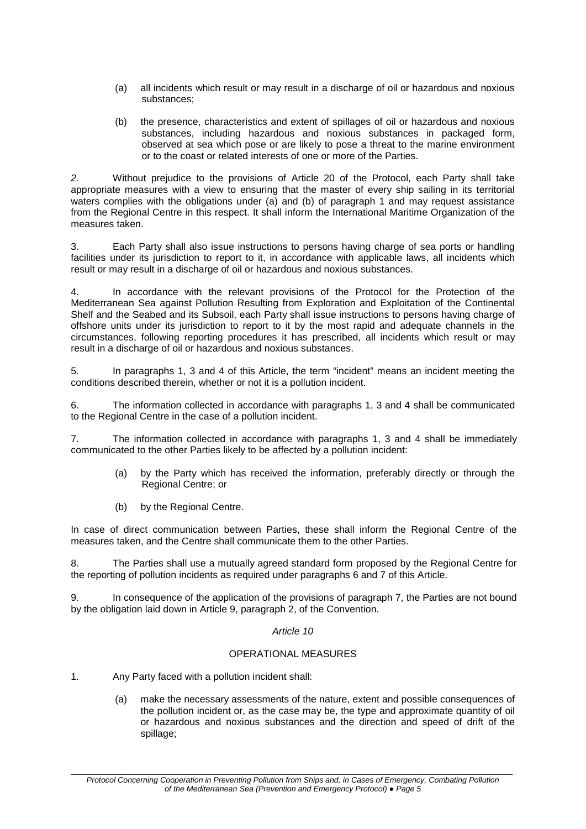- (a) all incidents which result or may result in a discharge of oil or hazardous and noxious substances;
- (b) the presence, characteristics and extent of spillages of oil or hazardous and noxious substances, including hazardous and noxious substances in packaged form, observed at sea which pose or are likely to pose a threat to the marine environment or to the coast or related interests of one or more of the Parties.

*2.* Without prejudice to the provisions of Article 20 of the Protocol, each Party shall take appropriate measures with a view to ensuring that the master of every ship sailing in its territorial waters complies with the obligations under (a) and (b) of paragraph 1 and may request assistance from the Regional Centre in this respect. It shall inform the International Maritime Organization of the measures taken.

3. Each Party shall also issue instructions to persons having charge of sea ports or handling facilities under its jurisdiction to report to it, in accordance with applicable laws, all incidents which result or may result in a discharge of oil or hazardous and noxious substances.

4. In accordance with the relevant provisions of the Protocol for the Protection of the Mediterranean Sea against Pollution Resulting from Exploration and Exploitation of the Continental Shelf and the Seabed and its Subsoil, each Party shall issue instructions to persons having charge of offshore units under its jurisdiction to report to it by the most rapid and adequate channels in the circumstances, following reporting procedures it has prescribed, all incidents which result or may result in a discharge of oil or hazardous and noxious substances.

5. In paragraphs 1, 3 and 4 of this Article, the term "incident" means an incident meeting the conditions described therein, whether or not it is a pollution incident.

6. The information collected in accordance with paragraphs 1, 3 and 4 shall be communicated to the Regional Centre in the case of a pollution incident.

7. The information collected in accordance with paragraphs 1, 3 and 4 shall be immediately communicated to the other Parties likely to be affected by a pollution incident:

- (a) by the Party which has received the information, preferably directly or through the Regional Centre; or
- (b) by the Regional Centre.

In case of direct communication between Parties, these shall inform the Regional Centre of the measures taken, and the Centre shall communicate them to the other Parties.

8. The Parties shall use a mutually agreed standard form proposed by the Regional Centre for the reporting of pollution incidents as required under paragraphs 6 and 7 of this Article.

9. In consequence of the application of the provisions of paragraph 7, the Parties are not bound by the obligation laid down in Article 9, paragraph 2, of the Convention.

#### *Article 10*

## OPERATIONAL MEASURES

1. Any Party faced with a pollution incident shall:

(a) make the necessary assessments of the nature, extent and possible consequences of the pollution incident or, as the case may be, the type and approximate quantity of oil or hazardous and noxious substances and the direction and speed of drift of the spillage;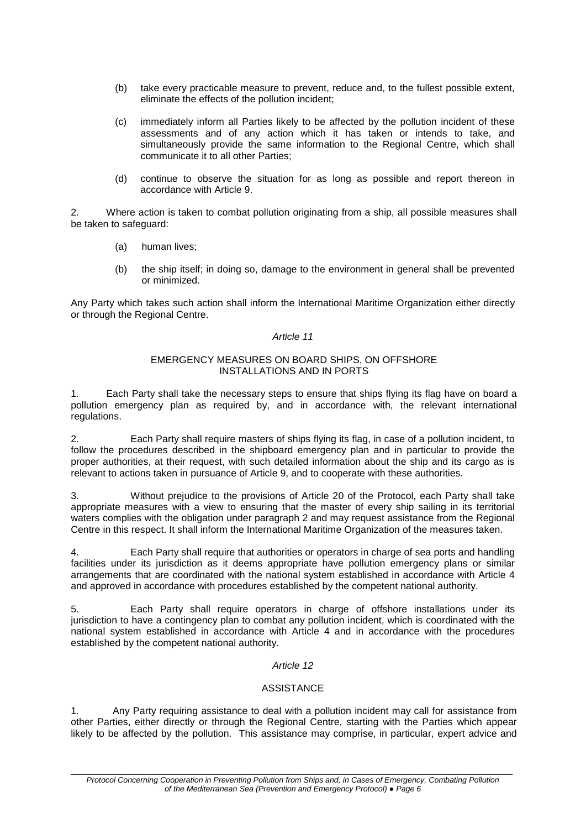- (b) take every practicable measure to prevent, reduce and, to the fullest possible extent, eliminate the effects of the pollution incident;
- (c) immediately inform all Parties likely to be affected by the pollution incident of these assessments and of any action which it has taken or intends to take, and simultaneously provide the same information to the Regional Centre, which shall communicate it to all other Parties;
- (d) continue to observe the situation for as long as possible and report thereon in accordance with Article 9.

2. Where action is taken to combat pollution originating from a ship, all possible measures shall be taken to safeguard:

- (a) human lives;
- (b) the ship itself; in doing so, damage to the environment in general shall be prevented or minimized.

Any Party which takes such action shall inform the International Maritime Organization either directly or through the Regional Centre.

### *Article 11*

### EMERGENCY MEASURES ON BOARD SHIPS, ON OFFSHORE INSTALLATIONS AND IN PORTS

1. Each Party shall take the necessary steps to ensure that ships flying its flag have on board a pollution emergency plan as required by, and in accordance with, the relevant international regulations.

2. Each Party shall require masters of ships flying its flag, in case of a pollution incident, to follow the procedures described in the shipboard emergency plan and in particular to provide the proper authorities, at their request, with such detailed information about the ship and its cargo as is relevant to actions taken in pursuance of Article 9, and to cooperate with these authorities.

3. Without prejudice to the provisions of Article 20 of the Protocol, each Party shall take appropriate measures with a view to ensuring that the master of every ship sailing in its territorial waters complies with the obligation under paragraph 2 and may request assistance from the Regional Centre in this respect. It shall inform the International Maritime Organization of the measures taken.

4. Each Party shall require that authorities or operators in charge of sea ports and handling facilities under its jurisdiction as it deems appropriate have pollution emergency plans or similar arrangements that are coordinated with the national system established in accordance with Article 4 and approved in accordance with procedures established by the competent national authority.

5. Each Party shall require operators in charge of offshore installations under its jurisdiction to have a contingency plan to combat any pollution incident, which is coordinated with the national system established in accordance with Article 4 and in accordance with the procedures established by the competent national authority.

## *Article 12*

## ASSISTANCE

1. Any Party requiring assistance to deal with a pollution incident may call for assistance from other Parties, either directly or through the Regional Centre, starting with the Parties which appear likely to be affected by the pollution. This assistance may comprise, in particular, expert advice and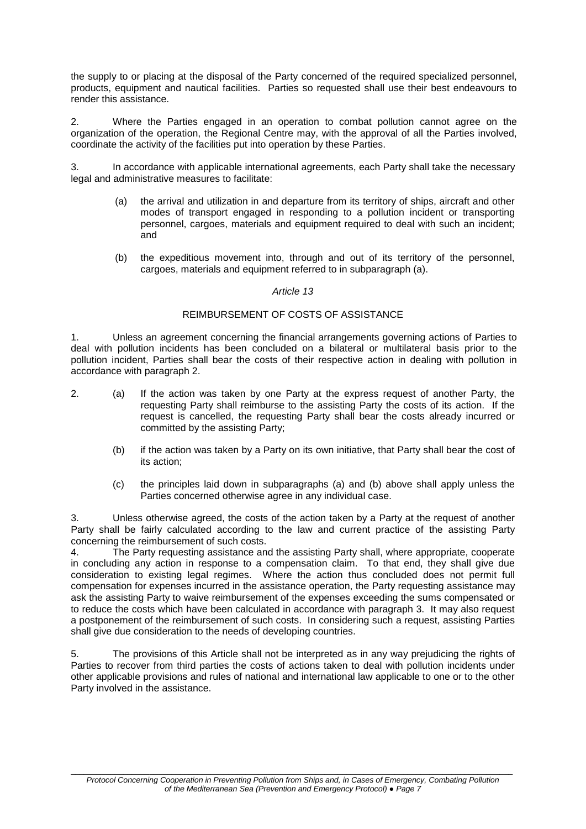the supply to or placing at the disposal of the Party concerned of the required specialized personnel, products, equipment and nautical facilities. Parties so requested shall use their best endeavours to render this assistance.

2. Where the Parties engaged in an operation to combat pollution cannot agree on the organization of the operation, the Regional Centre may, with the approval of all the Parties involved, coordinate the activity of the facilities put into operation by these Parties.

3. In accordance with applicable international agreements, each Party shall take the necessary legal and administrative measures to facilitate:

- (a) the arrival and utilization in and departure from its territory of ships, aircraft and other modes of transport engaged in responding to a pollution incident or transporting personnel, cargoes, materials and equipment required to deal with such an incident; and
- (b) the expeditious movement into, through and out of its territory of the personnel, cargoes, materials and equipment referred to in subparagraph (a).

#### *Article 13*

## REIMBURSEMENT OF COSTS OF ASSISTANCE

1. Unless an agreement concerning the financial arrangements governing actions of Parties to deal with pollution incidents has been concluded on a bilateral or multilateral basis prior to the pollution incident, Parties shall bear the costs of their respective action in dealing with pollution in accordance with paragraph 2.

- 2. (a) If the action was taken by one Party at the express request of another Party, the requesting Party shall reimburse to the assisting Party the costs of its action. If the request is cancelled, the requesting Party shall bear the costs already incurred or committed by the assisting Party;
	- (b) if the action was taken by a Party on its own initiative, that Party shall bear the cost of its action;
	- (c) the principles laid down in subparagraphs (a) and (b) above shall apply unless the Parties concerned otherwise agree in any individual case.

3. Unless otherwise agreed, the costs of the action taken by a Party at the request of another Party shall be fairly calculated according to the law and current practice of the assisting Party concerning the reimbursement of such costs.

4. The Party requesting assistance and the assisting Party shall, where appropriate, cooperate in concluding any action in response to a compensation claim. To that end, they shall give due consideration to existing legal regimes. Where the action thus concluded does not permit full compensation for expenses incurred in the assistance operation, the Party requesting assistance may ask the assisting Party to waive reimbursement of the expenses exceeding the sums compensated or to reduce the costs which have been calculated in accordance with paragraph 3. It may also request a postponement of the reimbursement of such costs. In considering such a request, assisting Parties shall give due consideration to the needs of developing countries.

5. The provisions of this Article shall not be interpreted as in any way prejudicing the rights of Parties to recover from third parties the costs of actions taken to deal with pollution incidents under other applicable provisions and rules of national and international law applicable to one or to the other Party involved in the assistance.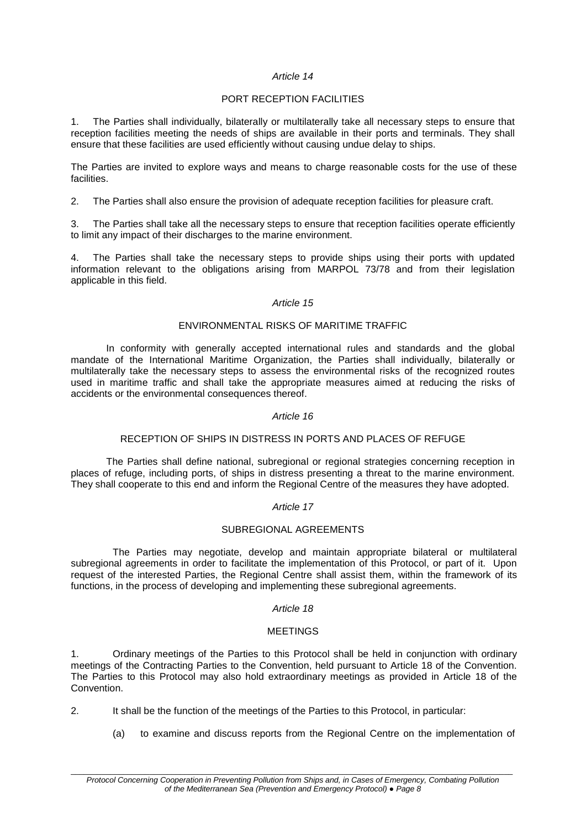#### PORT RECEPTION FACILITIES

1. The Parties shall individually, bilaterally or multilaterally take all necessary steps to ensure that reception facilities meeting the needs of ships are available in their ports and terminals. They shall ensure that these facilities are used efficiently without causing undue delay to ships.

The Parties are invited to explore ways and means to charge reasonable costs for the use of these facilities.

2. The Parties shall also ensure the provision of adequate reception facilities for pleasure craft.

3. The Parties shall take all the necessary steps to ensure that reception facilities operate efficiently to limit any impact of their discharges to the marine environment.

4. The Parties shall take the necessary steps to provide ships using their ports with updated information relevant to the obligations arising from MARPOL 73/78 and from their legislation applicable in this field.

#### *Article 15*

### ENVIRONMENTAL RISKS OF MARITIME TRAFFIC

In conformity with generally accepted international rules and standards and the global mandate of the International Maritime Organization, the Parties shall individually, bilaterally or multilaterally take the necessary steps to assess the environmental risks of the recognized routes used in maritime traffic and shall take the appropriate measures aimed at reducing the risks of accidents or the environmental consequences thereof.

#### *Article 16*

## RECEPTION OF SHIPS IN DISTRESS IN PORTS AND PLACES OF REFUGE

The Parties shall define national, subregional or regional strategies concerning reception in places of refuge, including ports, of ships in distress presenting a threat to the marine environment. They shall cooperate to this end and inform the Regional Centre of the measures they have adopted.

## *Article 17*

## SUBREGIONAL AGREEMENTS

The Parties may negotiate, develop and maintain appropriate bilateral or multilateral subregional agreements in order to facilitate the implementation of this Protocol, or part of it. Upon request of the interested Parties, the Regional Centre shall assist them, within the framework of its functions, in the process of developing and implementing these subregional agreements.

#### *Article 18*

#### **MEETINGS**

1. Ordinary meetings of the Parties to this Protocol shall be held in conjunction with ordinary meetings of the Contracting Parties to the Convention, held pursuant to Article 18 of the Convention. The Parties to this Protocol may also hold extraordinary meetings as provided in Article 18 of the Convention.

2. It shall be the function of the meetings of the Parties to this Protocol, in particular:

(a) to examine and discuss reports from the Regional Centre on the implementation of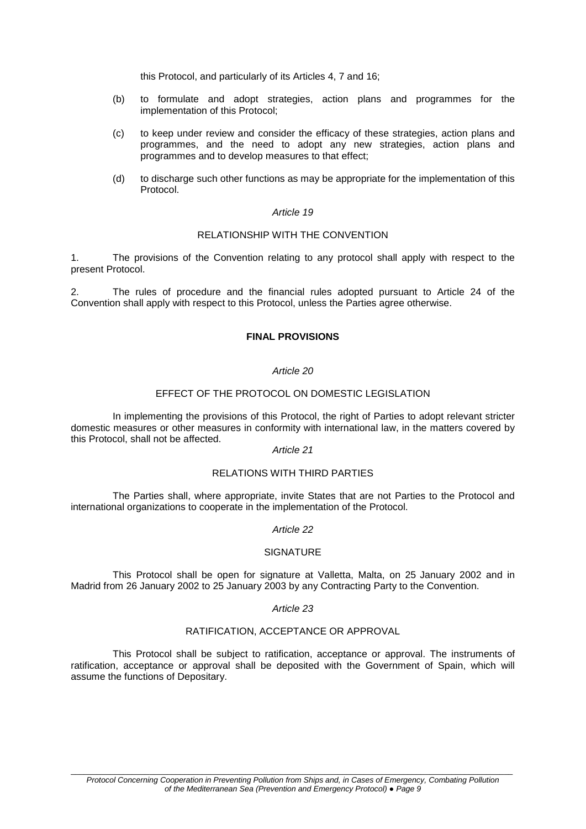this Protocol, and particularly of its Articles 4, 7 and 16;

- (b) to formulate and adopt strategies, action plans and programmes for the implementation of this Protocol;
- (c) to keep under review and consider the efficacy of these strategies, action plans and programmes, and the need to adopt any new strategies, action plans and programmes and to develop measures to that effect;
- (d) to discharge such other functions as may be appropriate for the implementation of this Protocol.

## *Article 19*

#### RELATIONSHIP WITH THE CONVENTION

1. The provisions of the Convention relating to any protocol shall apply with respect to the present Protocol.

2. The rules of procedure and the financial rules adopted pursuant to Article 24 of the Convention shall apply with respect to this Protocol, unless the Parties agree otherwise.

#### **FINAL PROVISIONS**

#### *Article 20*

#### EFFECT OF THE PROTOCOL ON DOMESTIC LEGISLATION

In implementing the provisions of this Protocol, the right of Parties to adopt relevant stricter domestic measures or other measures in conformity with international law, in the matters covered by this Protocol, shall not be affected.

## *Article 21*

#### RELATIONS WITH THIRD PARTIES

The Parties shall, where appropriate, invite States that are not Parties to the Protocol and international organizations to cooperate in the implementation of the Protocol.

#### *Article 22*

#### **SIGNATURE**

This Protocol shall be open for signature at Valletta, Malta, on 25 January 2002 and in Madrid from 26 January 2002 to 25 January 2003 by any Contracting Party to the Convention.

#### *Article 23*

#### RATIFICATION, ACCEPTANCE OR APPROVAL

This Protocol shall be subject to ratification, acceptance or approval. The instruments of ratification, acceptance or approval shall be deposited with the Government of Spain, which will assume the functions of Depositary.